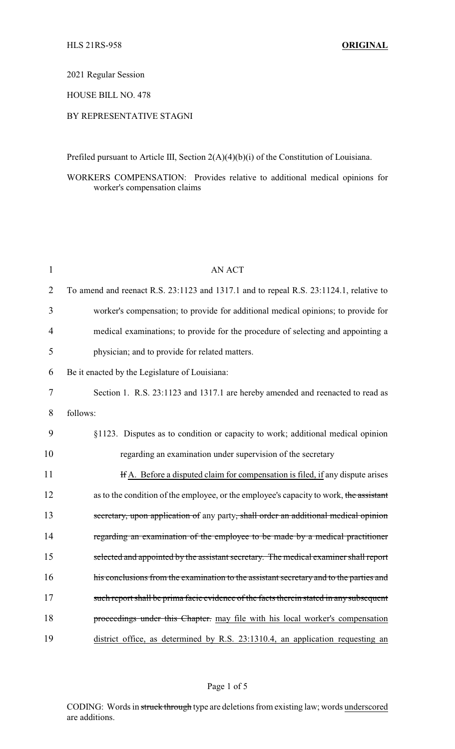#### 2021 Regular Session

# HOUSE BILL NO. 478

# BY REPRESENTATIVE STAGNI

Prefiled pursuant to Article III, Section 2(A)(4)(b)(i) of the Constitution of Louisiana.

# WORKERS COMPENSATION: Provides relative to additional medical opinions for worker's compensation claims

| $\mathbf{1}$   | <b>AN ACT</b>                                                                           |
|----------------|-----------------------------------------------------------------------------------------|
| $\overline{2}$ | To amend and reenact R.S. 23:1123 and 1317.1 and to repeal R.S. 23:1124.1, relative to  |
| 3              | worker's compensation; to provide for additional medical opinions; to provide for       |
| 4              | medical examinations; to provide for the procedure of selecting and appointing a        |
| 5              | physician; and to provide for related matters.                                          |
| 6              | Be it enacted by the Legislature of Louisiana:                                          |
| 7              | Section 1. R.S. 23:1123 and 1317.1 are hereby amended and reenacted to read as          |
| 8              | follows:                                                                                |
| 9              | §1123. Disputes as to condition or capacity to work; additional medical opinion         |
| 10             | regarding an examination under supervision of the secretary                             |
| 11             | If A. Before a disputed claim for compensation is filed, if any dispute arises          |
| 12             | as to the condition of the employee, or the employee's capacity to work, the assistant  |
| 13             | secretary, upon application of any party, shall order an additional medical opinion     |
| 14             | regarding an examination of the employee to be made by a medical practitioner           |
| 15             | selected and appointed by the assistant secretary. The medical examiner shall report    |
| 16             | his conclusions from the examination to the assistant secretary and to the parties and  |
| 17             | such report shall be prima facie evidence of the facts therein stated in any subsequent |
| 18             | proceedings under this Chapter. may file with his local worker's compensation           |
| 19             | district office, as determined by R.S. 23:1310.4, an application requesting an          |

CODING: Words in struck through type are deletions from existing law; words underscored are additions.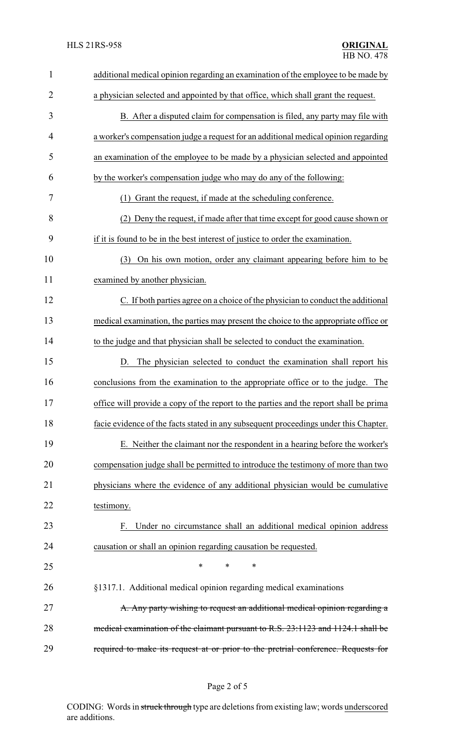| $\mathbf{1}$   | additional medical opinion regarding an examination of the employee to be made by     |
|----------------|---------------------------------------------------------------------------------------|
| $\overline{2}$ | a physician selected and appointed by that office, which shall grant the request.     |
| 3              | B. After a disputed claim for compensation is filed, any party may file with          |
| 4              | a worker's compensation judge a request for an additional medical opinion regarding   |
| 5              | an examination of the employee to be made by a physician selected and appointed       |
| 6              | by the worker's compensation judge who may do any of the following:                   |
| 7              | Grant the request, if made at the scheduling conference.<br>(1)                       |
| 8              | (2) Deny the request, if made after that time except for good cause shown or          |
| 9              | if it is found to be in the best interest of justice to order the examination.        |
| 10             | On his own motion, order any claimant appearing before him to be<br>(3)               |
| 11             | examined by another physician.                                                        |
| 12             | C. If both parties agree on a choice of the physician to conduct the additional       |
| 13             | medical examination, the parties may present the choice to the appropriate office or  |
| 14             | to the judge and that physician shall be selected to conduct the examination.         |
| 15             | D. The physician selected to conduct the examination shall report his                 |
| 16             | conclusions from the examination to the appropriate office or to the judge. The       |
| 17             | office will provide a copy of the report to the parties and the report shall be prima |
| 18             | facie evidence of the facts stated in any subsequent proceedings under this Chapter.  |
| 19             | E. Neither the claimant nor the respondent in a hearing before the worker's           |
| 20             | compensation judge shall be permitted to introduce the testimony of more than two     |
| 21             | physicians where the evidence of any additional physician would be cumulative         |
| 22             | testimony.                                                                            |
| 23             | F. Under no circumstance shall an additional medical opinion address                  |
| 24             | causation or shall an opinion regarding causation be requested.                       |
| 25             | $\ast$<br>$\ast$<br>∗                                                                 |
| 26             | §1317.1. Additional medical opinion regarding medical examinations                    |
| 27             | A. Any party wishing to request an additional medical opinion regarding a             |
| 28             | medical examination of the claimant pursuant to R.S. 23:1123 and 1124.1 shall be      |
| 29             | required to make its request at or prior to the pretrial conference. Requests for     |
|                |                                                                                       |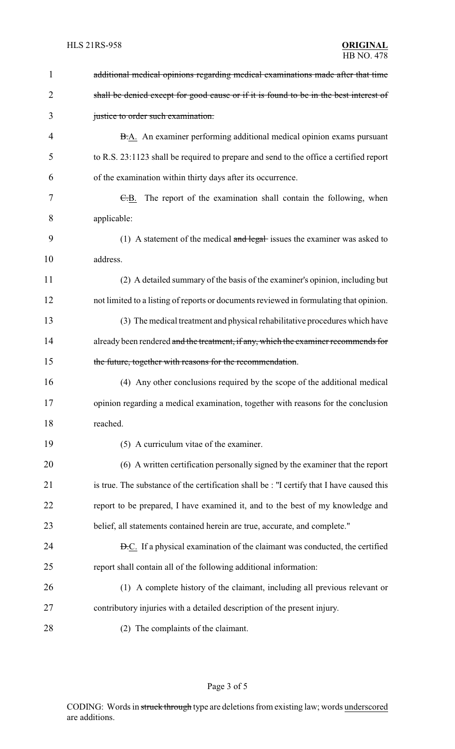| $\mathbf{1}$   | additional medical opinions regarding medical examinations made after that time           |
|----------------|-------------------------------------------------------------------------------------------|
| $\overline{2}$ | shall be denied except for good cause or if it is found to be in the best interest of     |
| 3              | justice to order such examination.                                                        |
| 4              | B.A. An examiner performing additional medical opinion exams pursuant                     |
| 5              | to R.S. 23:1123 shall be required to prepare and send to the office a certified report    |
| 6              | of the examination within thirty days after its occurrence.                               |
| 7              | E.B. The report of the examination shall contain the following, when                      |
| 8              | applicable:                                                                               |
| 9              | (1) A statement of the medical $\frac{1}{2}$ and legal-issues the examiner was asked to   |
| 10             | address.                                                                                  |
| 11             | (2) A detailed summary of the basis of the examiner's opinion, including but              |
| 12             | not limited to a listing of reports or documents reviewed in formulating that opinion.    |
| 13             | (3) The medical treatment and physical rehabilitative procedures which have               |
| 14             | already been rendered and the treatment, if any, which the examiner recommends for        |
| 15             | the future, together with reasons for the recommendation.                                 |
| 16             | (4) Any other conclusions required by the scope of the additional medical                 |
| 17             | opinion regarding a medical examination, together with reasons for the conclusion         |
| 18             | reached.                                                                                  |
| 19             | (5) A curriculum vitae of the examiner.                                                   |
| 20             | (6) A written certification personally signed by the examiner that the report             |
| 21             | is true. The substance of the certification shall be : "I certify that I have caused this |
| 22             | report to be prepared, I have examined it, and to the best of my knowledge and            |
| 23             | belief, all statements contained herein are true, accurate, and complete."                |
| 24             | <b>D.C.</b> If a physical examination of the claimant was conducted, the certified        |
| 25             | report shall contain all of the following additional information:                         |
| 26             | (1) A complete history of the claimant, including all previous relevant or                |
| 27             | contributory injuries with a detailed description of the present injury.                  |
|                |                                                                                           |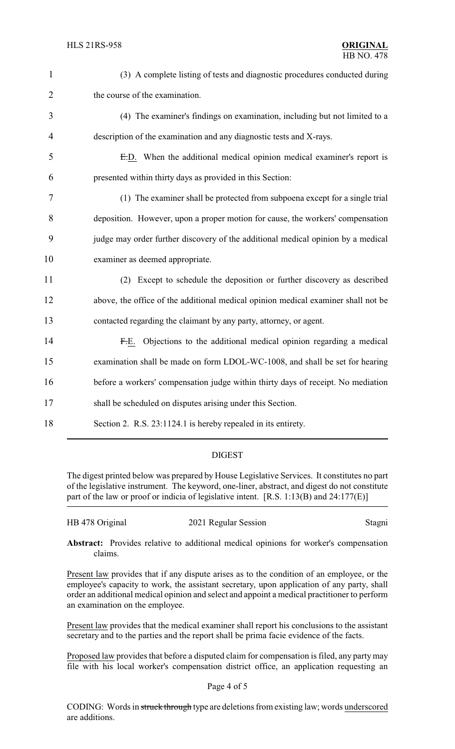| $\mathbf{1}$   | (3) A complete listing of tests and diagnostic procedures conducted during        |
|----------------|-----------------------------------------------------------------------------------|
| $\overline{2}$ | the course of the examination.                                                    |
| 3              | (4) The examiner's findings on examination, including but not limited to a        |
| 4              | description of the examination and any diagnostic tests and X-rays.               |
| 5              | E.D. When the additional medical opinion medical examiner's report is             |
| 6              | presented within thirty days as provided in this Section:                         |
| 7              | (1) The examiner shall be protected from subpoena except for a single trial       |
| 8              | deposition. However, upon a proper motion for cause, the workers' compensation    |
| 9              | judge may order further discovery of the additional medical opinion by a medical  |
| 10             | examiner as deemed appropriate.                                                   |
| 11             | (2) Except to schedule the deposition or further discovery as described           |
| 12             | above, the office of the additional medical opinion medical examiner shall not be |
| 13             | contacted regarding the claimant by any party, attorney, or agent.                |
| 14             | F.E. Objections to the additional medical opinion regarding a medical             |
| 15             | examination shall be made on form LDOL-WC-1008, and shall be set for hearing      |
| 16             | before a workers' compensation judge within thirty days of receipt. No mediation  |
| 17             | shall be scheduled on disputes arising under this Section.                        |
| 18             | Section 2. R.S. 23:1124.1 is hereby repealed in its entirety.                     |
|                |                                                                                   |

## DIGEST

The digest printed below was prepared by House Legislative Services. It constitutes no part of the legislative instrument. The keyword, one-liner, abstract, and digest do not constitute part of the law or proof or indicia of legislative intent. [R.S. 1:13(B) and 24:177(E)]

| HB 478 Original<br>2021 Regular Session | Stagni |
|-----------------------------------------|--------|
|-----------------------------------------|--------|

**Abstract:** Provides relative to additional medical opinions for worker's compensation claims.

Present law provides that if any dispute arises as to the condition of an employee, or the employee's capacity to work, the assistant secretary, upon application of any party, shall order an additional medical opinion and select and appoint a medical practitioner to perform an examination on the employee.

Present law provides that the medical examiner shall report his conclusions to the assistant secretary and to the parties and the report shall be prima facie evidence of the facts.

Proposed law provides that before a disputed claim for compensation is filed, any partymay file with his local worker's compensation district office, an application requesting an

#### Page 4 of 5

CODING: Words in struck through type are deletions from existing law; words underscored are additions.